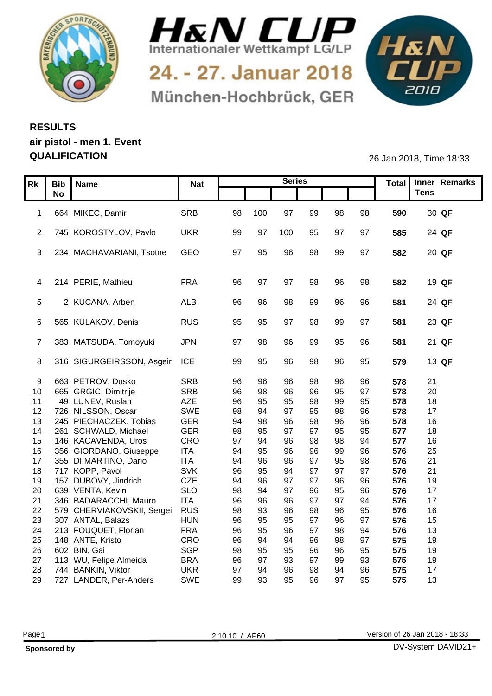



24. - 27. Januar 2018 München-Hochbrück, GER



## **RESULTS air pistol - men 1. Event**

**QUALIFICATION** 26 Jan 2018, Time 18:33

|                  | Rk   Bib   Name                          | <b>Nat</b>               |          |          | <b>Series</b> |          |          |          |            | Total Inner Remarks |
|------------------|------------------------------------------|--------------------------|----------|----------|---------------|----------|----------|----------|------------|---------------------|
|                  | <b>No</b>                                |                          |          |          |               |          |          |          |            | <b>Tens</b>         |
|                  |                                          |                          |          |          |               |          |          |          |            |                     |
|                  | 1 664 MIKEC, Damir                       | SRB                      | 98       | 100      | 97            | 99       | 98       | 98       | 590        | 30 QF               |
|                  |                                          |                          |          |          |               |          |          |          |            |                     |
|                  | 2 745 KOROSTYLOV, Pavlo                  | <b>UKR</b>               | 99       | 97       | 100           | 95       | 97       | 97       | 585        | 24 QF               |
|                  |                                          |                          |          |          |               |          |          |          |            |                     |
|                  | 3 234 MACHAVARIANI, Tsotne               | GEO                      | 97       | 95       | 96            | 98       | 99       | 97       | 582        | 20 QF               |
|                  |                                          |                          |          |          |               |          |          |          |            |                     |
|                  | 4 214 PERIE, Mathieu                     | <b>FRA</b>               | -96      | - 97     | -97           | 98       | 96       | 98       | 582        | 19 QF               |
|                  |                                          |                          |          |          |               |          |          |          |            |                     |
|                  | 2 KUCANA, Arben                          | ALB                      |          |          | 98            |          |          | 96       | 581        | 24 QF               |
|                  |                                          |                          |          |          |               |          |          |          |            |                     |
|                  | 6 565 KULAKOV, Denis                     | RUS                      | 95       | 95       | .97           | 98       | 99       | 97       | 581        | 23 QF               |
|                  |                                          |                          |          |          |               |          |          |          |            |                     |
|                  | 7 383 MATSUDA, Tomoyuki                  | <b>JPN</b>               | .97      | 98       | 96            | 99       | 95       | 96       | 581        | 21 QF               |
|                  |                                          |                          |          |          |               |          |          |          |            |                     |
|                  | 8 316 SIGURGEIRSSON, Asgeir ICE          |                          | 99       | 95       | 96            | 98       | 96       | 95       | 579        | 13 QF               |
|                  |                                          |                          |          |          |               |          |          |          |            |                     |
| -9               | 663 PETROV, Dusko                        | SRB                      | 96       | 96       | 96            |          |          |          | 578        | 21                  |
| 10 <sup>°</sup>  | 665 GRGIC, Dimitrije                     | <b>SRB</b>               | 96       | 98       | 96            | 96       | 95       | 97       | 578        | 20                  |
| 11               | 49 LUNEV, Ruslan                         | AZE                      | 96       | 95       | 95            | 98       | 99       | 95       | 578        | 18                  |
|                  | 12 726 NILSSON, Oscar                    | SWE                      | 98       | -94      | 97            | 95       | 98       | 96       | 578        | 17                  |
| 13 <sup>13</sup> | 245 PIECHACZEK, Tobias                   | GER                      | 94       | 98       | 96            | 98       | 96       | 96       | 578        | 16                  |
| 14               | 261 SCHWALD, Michael                     | <b>GER</b>               | 98       | 95       | 97            | 97       | 95       | 95       | 577        | 18                  |
|                  | 15 146 KACAVENDA, Uros                   | CRO                      | 97       | .94      | 96            | 98       | 98       | 94       | 577        | 16                  |
| 16               | 356 GIORDANO, Giuseppe                   | <b>ITA</b>               | 94       | 95       | 96            |          | 99       | 96       | 576        | 25                  |
| 17<br>18         | 355 DI MARTINO, Dario<br>717 KOPP, Pavol | <b>ITA</b><br><b>SVK</b> | 94<br>96 | 96<br>95 | 96<br>94      | 97<br>97 | 95<br>97 | 98<br>97 | 576<br>576 | 21<br>21            |
| 19               | 157 DUBOVY, Jindrich                     | CZE                      | 94       | 96       | 97            |          | 96       | 96       | 576        | 19                  |
| 20               | 639 VENTA, Kevin                         | <b>SLO</b>               | 98       | $Q_2$    | 97            | 96       | 95       | 96       | 576        | 17                  |
|                  | 21 346 BADARACCHI, Mauro                 | <b>ITA</b>               | 96       | 96       | 96            | 97       | $\Omega$ | 94       | 576        | 17                  |
|                  | 22 579 CHERVIAKOVSKII, Sergei            | <b>RUS</b>               | 98       | 93       | 96            | 98       | 96       | 95       | 576        | 16                  |
| 23               | 307 ANTAL, Balazs                        | <b>HUN</b>               | 96       | 95       | 95            | 97       | 96       | 97       | 576        | 15                  |
|                  | 24 213 FOUQUET, Florian                  | <b>FRA</b>               | 96       | 95       | 96            | 97       | 98       | 94       | 576        | 13                  |
|                  | 25 148 ANTE, Kristo                      | CRO                      | 96       | -94      | 94            | 96       | 98       | 97       | 575        | 19                  |
|                  | 26 602 BIN, Gai                          | SGP                      | 98       | 95       | 95            | 96       | 96       | 95       | 575        | 19                  |
|                  | 27 113 WU, Felipe Almeida                | <b>BRA</b>               | 96       | - 97     | 93            | 97       | 99       | 93       | 575        | 19                  |
|                  | 28 744 BANKIN, Viktor                    | <b>UKR</b>               | 97       | -94      | 96            | 98       | 94       | 96       | 575        | 17                  |
|                  | 29 727 LANDER, Per-Anders                | SWE                      | 99       | 93       | 95            | 96       | 97       | 95       | 575        | 13                  |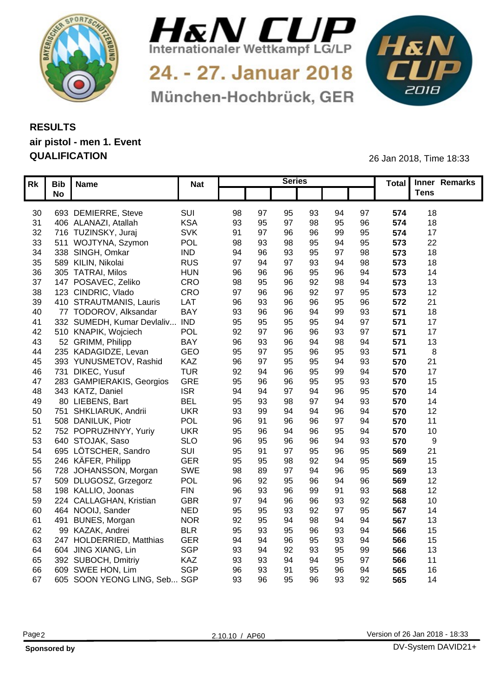



24. - 27. Januar 2018 München-Hochbrück, GER



## **RESULTS air pistol - men 1. Event QUALIFICATION** 26 Jan 2018, Time 18:33

|    | Rk   Bib   Name                 | <b>Nat</b> |                 |    | <b>Series</b> |                |                |                 | Total Inner Remarks |  |
|----|---------------------------------|------------|-----------------|----|---------------|----------------|----------------|-----------------|---------------------|--|
|    | <b>No</b>                       |            |                 |    |               |                |                |                 | <b>Tens</b>         |  |
|    |                                 |            |                 |    |               |                |                |                 |                     |  |
|    | 30 693 DEMIERRE, Steve          | SUI        | 98<br>-97       | 95 | 93            | 94             | 97             | 574             | 18                  |  |
| 31 | 406 ALANAZI, Atallah            | <b>KSA</b> | 93<br>95        | Q. | 98            |                | 96             | 574             | 18                  |  |
|    | 32 716 TUZINSKY, Juraj          | <b>SVK</b> | 91<br>97        | 96 | 96            | qq             | 95             | 57 <sub>0</sub> | 17                  |  |
|    | 33 511 WOJTYNA, Szymon          | POL        | 98<br>93        | 98 | 95            | 94             | 95             | 573             | 22                  |  |
|    | 34 338 SINGH, Omkar             | <b>IND</b> | 94<br>96        | 93 | 95            |                | 98             | 573             | 18                  |  |
| 35 | 589 KILIN, Nikolai              | <b>RUS</b> | 97              | 97 | 93            |                | 98             | 573             | 18                  |  |
| 36 | 305 TATRAI, Milos               | <b>HUN</b> | 96              |    | 95            |                | 94             | 573             | 14                  |  |
| 37 | 147 POSAVEC, Zeliko             | CRO        | 98              |    | 92            |                | 94             | 573             | 13                  |  |
| 38 | 123 CINDRIC, Vlado              | CRO        | 97              |    | 92            | Q <sub>7</sub> | 95             | 573             | 12                  |  |
| 39 | 410 STRAUTMANIS, Lauris         | LAT        | 96<br>93        |    | 96            |                | 96             | 572             | 21                  |  |
| 40 | 77 TODOROV, Alksandar           | <b>BAY</b> | 93<br>96        | 96 | 94            |                | 93             | 571             | 18                  |  |
| 41 | 332 SUMEDH, Kumar Devlaliv.     | <b>IND</b> | 95<br>95        | 95 | 95            |                | 97             | 571             | 17                  |  |
| 42 | 510 KNAPIK, Wojciech            | POL        | 92<br>$\Omega$  | 96 | 96            | ۵R             | Q <sub>7</sub> | 571             | 17                  |  |
| 43 | 52 GRIMM, Philipp               | <b>BAY</b> | 96              |    | 94            | 98             | 94             | 571             | 13                  |  |
| 44 | 235 KADAGIDZE, Levan            | GEO        | 95<br>$\Omega$  | 95 | 96            |                | 93             | 571             |                     |  |
| 45 | 393 YUNUSMETOV, Rashid          | KAZ        | 96<br><b>Q7</b> | 95 | 95            |                | 93             | 570             | 21                  |  |
| 46 | 731 DIKEC, Yusuf                | <b>TUR</b> | 92              |    | 95            |                | 94             | 570             | 17                  |  |
| 47 | 283 GAMPIERAKIS, Georgios       | GRE        | 95              | 96 | 95            | 95             | 93             | 570             | 15                  |  |
| 48 | 343 KATZ, Daniel                | <b>ISR</b> | 94              |    |               |                | 95             | 570             | 14                  |  |
| 49 | 80 LIEBENS, Bart                | <b>BEL</b> | 95              |    | Ω7            |                | 93             | 570             | 14                  |  |
| 50 | 751 SHKLIARUK, Andrii           | <b>UKR</b> | 93              |    | ۹۷            |                | 94             | 570             | 12                  |  |
| 51 | 508 DANILUK, Piotr              | POL        | 96              |    |               |                | 94             | 570             | 11                  |  |
| 52 | 752 POPRUZHNYY, Yuriy           | <b>UKR</b> | 95              |    | 96            |                | 94             | 570             | 10                  |  |
| 53 | 640 STOJAK, Saso                | <b>SLO</b> | 96<br>95        |    | 96            | 94             | 93             | 570             |                     |  |
| 54 | 695 LÖTSCHER, Sandro            | SUI        | 95              | 97 | 95            |                | 95             | 569             | 21                  |  |
| 55 | 246 KÄFER, Philipp              | <b>GER</b> | 95<br>95        | 98 | 92            |                | 95             | 569             | 15                  |  |
| 56 | 728 JOHANSSON, Morgan           | SWE        | 98<br>89        |    | ٩Z            |                | 95             | 569             | 13                  |  |
| 57 | 509 DLUGOSZ, Grzegorz           | POL        | 96<br>92        | 95 | 96            |                | 96             | 569             | 12                  |  |
| 58 | 198 KALLIO, Joonas              | <b>FIN</b> | 96<br>-93       |    | 99            |                | 93             | 568             | 12                  |  |
| 59 | 224 CALLAGHAN, Kristian         | <b>GBR</b> | 97              |    | 96            |                | 92             | 568             | 10                  |  |
| 60 | 464 NOOIJ, Sander               | <b>NED</b> | 95<br>95        | 93 | 92            | 97             | 95             | 567             | 14                  |  |
| 61 | 491 BUNES, Morgan               | <b>NOR</b> | 92              |    | 98            |                | 94             | 567             | 13                  |  |
| 62 | 99 KAZAK, Andrei                | <b>BLR</b> | 95<br>93        | 95 | 96            |                | 94             | 566             | 15                  |  |
| 63 | 247 HOLDERRIED, Matthias        | <b>GER</b> | 94              |    | 95            | 93             | 94             | 566             | 15                  |  |
| 64 | 604 JING XIANG, Lin             | SGP        | 93              | 92 | 93            |                | 99             | 566             | 13                  |  |
|    | 65 392 SUBOCH, Dmitriy          | KAZ        | 93              |    | 94            | 95             | 97             | 566             | 11                  |  |
| 66 | 609 SWEE HON, Lim               | SGP        | 96<br>93        |    | 95            |                | 94             | 565             | 16                  |  |
|    | 67 605 SOON YEONG LING, Seb SGP |            | 93<br>96        | 95 | 96            | 93             | 92             | 565             | 14                  |  |
|    |                                 |            |                 |    |               |                |                |                 |                     |  |